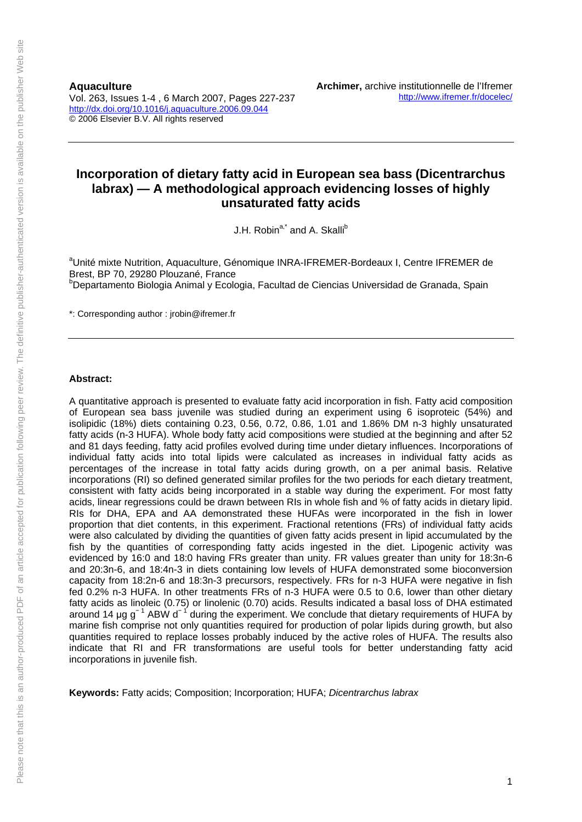**Aquaculture**  Vol. 263, Issues 1-4 , 6 March 2007, Pages 227-237 http://dx.doi.org/10.1016/j.aquaculture.2006.09.044 © 2006 Elsevier B.V. All rights reserved

# **Incorporation of dietary fatty acid in European sea bass (Dicentrarchus labrax) — A methodological approach evidencing losses of highly unsaturated fatty acids**

J.H. Robin<sup>a,\*</sup> and A. Skalli<sup>b</sup>

<sup>a</sup>Unité mixte Nutrition, Aquaculture, Génomique INRA-IFREMER-Bordeaux I, Centre IFREMER de Brest, BP 70, 29280 Plouzané, France <sup>b</sup>Departamento Biologia Animal y Ecologia, Facultad de Ciencias Universidad de Granada, Spain

\*: Corresponding author : jrobin@ifremer.fr

### **Abstract:**

A quantitative approach is presented to evaluate fatty acid incorporation in fish. Fatty acid composition of European sea bass juvenile was studied during an experiment using 6 isoproteic (54%) and isolipidic (18%) diets containing 0.23, 0.56, 0.72, 0.86, 1.01 and 1.86% DM n-3 highly unsaturated fatty acids (n-3 HUFA). Whole body fatty acid compositions were studied at the beginning and after 52 and 81 days feeding, fatty acid profiles evolved during time under dietary influences. Incorporations of individual fatty acids into total lipids were calculated as increases in individual fatty acids as percentages of the increase in total fatty acids during growth, on a per animal basis. Relative incorporations (RI) so defined generated similar profiles for the two periods for each dietary treatment, consistent with fatty acids being incorporated in a stable way during the experiment. For most fatty acids, linear regressions could be drawn between RIs in whole fish and % of fatty acids in dietary lipid. RIs for DHA, EPA and AA demonstrated these HUFAs were incorporated in the fish in lower proportion that diet contents, in this experiment. Fractional retentions (FRs) of individual fatty acids were also calculated by dividing the quantities of given fatty acids present in lipid accumulated by the fish by the quantities of corresponding fatty acids ingested in the diet. Lipogenic activity was evidenced by 16:0 and 18:0 having FRs greater than unity. FR values greater than unity for 18:3n-6 and 20:3n-6, and 18:4n-3 in diets containing low levels of HUFA demonstrated some bioconversion capacity from 18:2n-6 and 18:3n-3 precursors, respectively. FRs for n-3 HUFA were negative in fish fed 0.2% n-3 HUFA. In other treatments FRs of n-3 HUFA were 0.5 to 0.6, lower than other dietary fatty acids as linoleic (0.75) or linolenic (0.70) acids. Results indicated a basal loss of DHA estimated around 14 µg  $g^{-1}$  ABW d<sup>-1</sup> during the experiment. We conclude that dietary requirements of HUFA by marine fish comprise not only quantities required for production of polar lipids during growth, but also quantities required to replace losses probably induced by the active roles of HUFA. The results also indicate that RI and FR transformations are useful tools for better understanding fatty acid incorporations in juvenile fish.

**Keywords:** Fatty acids; Composition; Incorporation; HUFA; *Dicentrarchus labrax*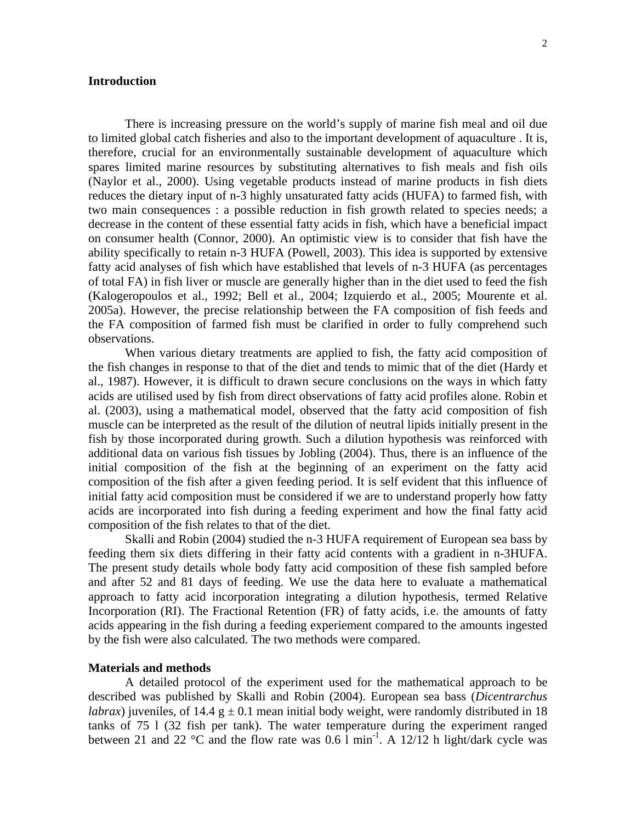### **Introduction**

There is increasing pressure on the world's supply of marine fish meal and oil due to limited global catch fisheries and also to the important development of aquaculture . It is, therefore, crucial for an environmentally sustainable development of aquaculture which spares limited marine resources by substituting alternatives to fish meals and fish oils (Naylor et al., 2000). Using vegetable products instead of marine products in fish diets reduces the dietary input of n-3 highly unsaturated fatty acids (HUFA) to farmed fish, with two main consequences : a possible reduction in fish growth related to species needs; a decrease in the content of these essential fatty acids in fish, which have a beneficial impact on consumer health (Connor, 2000). An optimistic view is to consider that fish have the ability specifically to retain n-3 HUFA (Powell, 2003). This idea is supported by extensive fatty acid analyses of fish which have established that levels of n-3 HUFA (as percentages of total FA) in fish liver or muscle are generally higher than in the diet used to feed the fish (Kalogeropoulos et al., 1992; Bell et al., 2004; Izquierdo et al., 2005; Mourente et al. 2005a). However, the precise relationship between the FA composition of fish feeds and the FA composition of farmed fish must be clarified in order to fully comprehend such observations.

When various dietary treatments are applied to fish, the fatty acid composition of the fish changes in response to that of the diet and tends to mimic that of the diet (Hardy et al., 1987). However, it is difficult to drawn secure conclusions on the ways in which fatty acids are utilised used by fish from direct observations of fatty acid profiles alone. Robin et al. (2003), using a mathematical model, observed that the fatty acid composition of fish muscle can be interpreted as the result of the dilution of neutral lipids initially present in the fish by those incorporated during growth. Such a dilution hypothesis was reinforced with additional data on various fish tissues by Jobling (2004). Thus, there is an influence of the initial composition of the fish at the beginning of an experiment on the fatty acid composition of the fish after a given feeding period. It is self evident that this influence of initial fatty acid composition must be considered if we are to understand properly how fatty acids are incorporated into fish during a feeding experiment and how the final fatty acid composition of the fish relates to that of the diet.

Skalli and Robin (2004) studied the n-3 HUFA requirement of European sea bass by feeding them six diets differing in their fatty acid contents with a gradient in n-3HUFA. The present study details whole body fatty acid composition of these fish sampled before and after 52 and 81 days of feeding. We use the data here to evaluate a mathematical approach to fatty acid incorporation integrating a dilution hypothesis, termed Relative Incorporation (RI). The Fractional Retention (FR) of fatty acids, i.e. the amounts of fatty acids appearing in the fish during a feeding experiement compared to the amounts ingested by the fish were also calculated. The two methods were compared.

### **Materials and methods**

 A detailed protocol of the experiment used for the mathematical approach to be described was published by Skalli and Robin (2004). European sea bass (*Dicentrarchus labrax*) juveniles, of 14.4 g  $\pm$  0.1 mean initial body weight, were randomly distributed in 18 tanks of 75 l (32 fish per tank). The water temperature during the experiment ranged between 21 and 22 °C and the flow rate was  $0.6 \text{ l min}^{-1}$ . A 12/12 h light/dark cycle was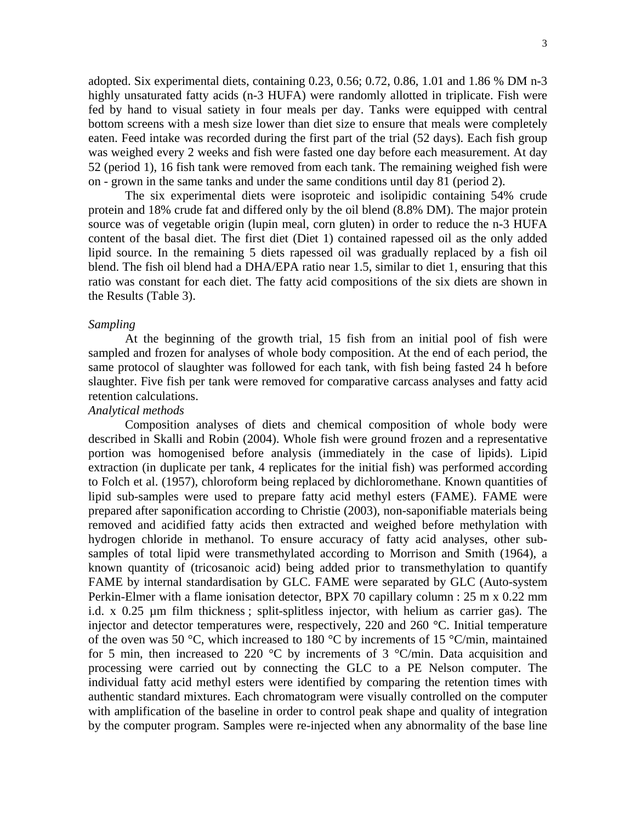adopted. Six experimental diets, containing 0.23, 0.56; 0.72, 0.86, 1.01 and 1.86 % DM n-3 highly unsaturated fatty acids (n-3 HUFA) were randomly allotted in triplicate. Fish were fed by hand to visual satiety in four meals per day. Tanks were equipped with central bottom screens with a mesh size lower than diet size to ensure that meals were completely eaten. Feed intake was recorded during the first part of the trial (52 days). Each fish group was weighed every 2 weeks and fish were fasted one day before each measurement. At day 52 (period 1), 16 fish tank were removed from each tank. The remaining weighed fish were

on - grown in the same tanks and under the same conditions until day 81 (period 2). The six experimental diets were isoproteic and isolipidic containing 54% crude protein and 18% crude fat and differed only by the oil blend (8.8% DM). The major protein source was of vegetable origin (lupin meal, corn gluten) in order to reduce the n-3 HUFA content of the basal diet. The first diet (Diet 1) contained rapessed oil as the only added lipid source. In the remaining 5 diets rapessed oil was gradually replaced by a fish oil blend. The fish oil blend had a DHA/EPA ratio near 1.5, similar to diet 1, ensuring that this ratio was constant for each diet. The fatty acid compositions of the six diets are shown in the Results (Table 3).

### *Sampling*

 At the beginning of the growth trial, 15 fish from an initial pool of fish were sampled and frozen for analyses of whole body composition. At the end of each period, the same protocol of slaughter was followed for each tank, with fish being fasted 24 h before slaughter. Five fish per tank were removed for comparative carcass analyses and fatty acid retention calculations.

# *Analytical methods*

 Composition analyses of diets and chemical composition of whole body were described in Skalli and Robin (2004). Whole fish were ground frozen and a representative portion was homogenised before analysis (immediately in the case of lipids). Lipid extraction (in duplicate per tank, 4 replicates for the initial fish) was performed according to Folch et al. (1957), chloroform being replaced by dichloromethane. Known quantities of lipid sub-samples were used to prepare fatty acid methyl esters (FAME). FAME were prepared after saponification according to Christie (2003), non-saponifiable materials being removed and acidified fatty acids then extracted and weighed before methylation with hydrogen chloride in methanol. To ensure accuracy of fatty acid analyses, other subsamples of total lipid were transmethylated according to Morrison and Smith (1964), a known quantity of (tricosanoic acid) being added prior to transmethylation to quantify FAME by internal standardisation by GLC. FAME were separated by GLC (Auto-system Perkin-Elmer with a flame ionisation detector, BPX 70 capillary column : 25 m x 0.22 mm i.d. x 0.25 µm film thickness ; split-splitless injector, with helium as carrier gas). The injector and detector temperatures were, respectively, 220 and 260 °C. Initial temperature of the oven was 50 °C, which increased to 180 °C by increments of 15 °C/min, maintained for 5 min, then increased to 220  $\degree$ C by increments of 3  $\degree$ C/min. Data acquisition and processing were carried out by connecting the GLC to a PE Nelson computer. The individual fatty acid methyl esters were identified by comparing the retention times with authentic standard mixtures. Each chromatogram were visually controlled on the computer with amplification of the baseline in order to control peak shape and quality of integration by the computer program. Samples were re-injected when any abnormality of the base line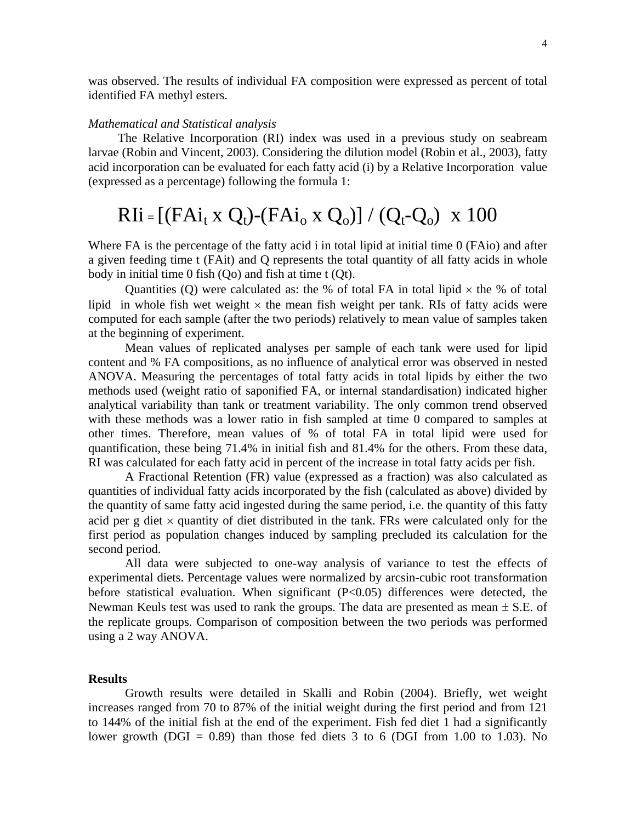was observed. The results of individual FA composition were expressed as percent of total identified FA methyl esters.

### *Mathematical and Statistical analysis*

The Relative Incorporation (RI) index was used in a previous study on seabream larvae (Robin and Vincent, 2003). Considering the dilution model (Robin et al., 2003), fatty acid incorporation can be evaluated for each fatty acid (i) by a Relative Incorporation value (expressed as a percentage) following the formula 1:

# $RIi = [(FAi_t \times Q_t) - (FAi_o \times Q_o)] / (Q_t - Q_o) \times 100$

Where FA is the percentage of the fatty acid i in total lipid at initial time 0 (FAio) and after a given feeding time t (FAit) and Q represents the total quantity of all fatty acids in whole body in initial time 0 fish (Qo) and fish at time t (Qt).

Quantities (Q) were calculated as: the % of total FA in total lipid  $\times$  the % of total lipid in whole fish wet weight  $\times$  the mean fish weight per tank. RIs of fatty acids were computed for each sample (after the two periods) relatively to mean value of samples taken at the beginning of experiment.

 Mean values of replicated analyses per sample of each tank were used for lipid content and % FA compositions, as no influence of analytical error was observed in nested ANOVA. Measuring the percentages of total fatty acids in total lipids by either the two methods used (weight ratio of saponified FA, or internal standardisation) indicated higher analytical variability than tank or treatment variability. The only common trend observed with these methods was a lower ratio in fish sampled at time 0 compared to samples at other times. Therefore, mean values of % of total FA in total lipid were used for quantification, these being 71.4% in initial fish and 81.4% for the others. From these data, RI was calculated for each fatty acid in percent of the increase in total fatty acids per fish.

 A Fractional Retention (FR) value (expressed as a fraction) was also calculated as quantities of individual fatty acids incorporated by the fish (calculated as above) divided by the quantity of same fatty acid ingested during the same period, i.e. the quantity of this fatty acid per g diet  $\times$  quantity of diet distributed in the tank. FRs were calculated only for the first period as population changes induced by sampling precluded its calculation for the second period.

 All data were subjected to one-way analysis of variance to test the effects of experimental diets. Percentage values were normalized by arcsin-cubic root transformation before statistical evaluation. When significant (P<0.05) differences were detected, the Newman Keuls test was used to rank the groups. The data are presented as mean  $\pm$  S.E. of the replicate groups. Comparison of composition between the two periods was performed using a 2 way ANOVA.

# **Results**

 Growth results were detailed in Skalli and Robin (2004). Briefly, wet weight increases ranged from 70 to 87% of the initial weight during the first period and from 121 to 144% of the initial fish at the end of the experiment. Fish fed diet 1 had a significantly lower growth (DGI =  $0.89$ ) than those fed diets 3 to 6 (DGI from 1.00 to 1.03). No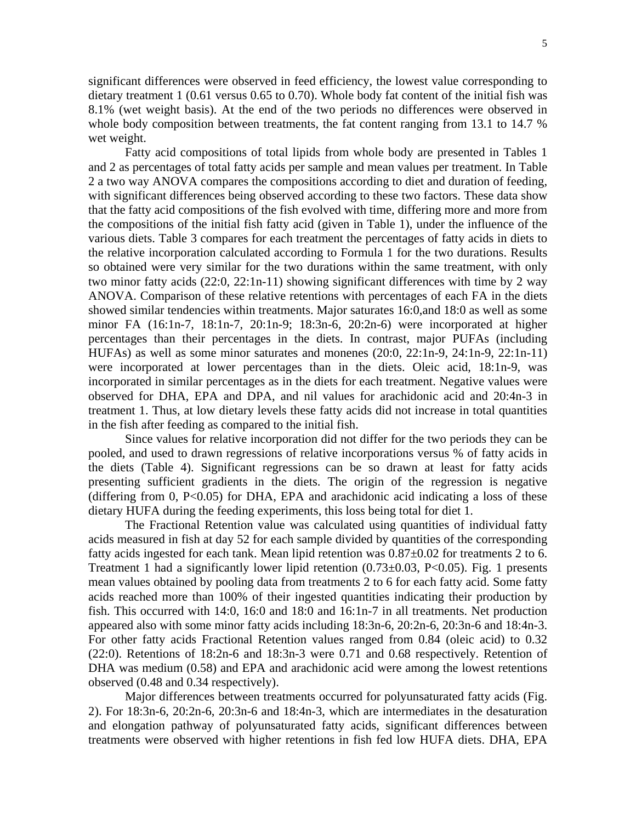significant differences were observed in feed efficiency, the lowest value corresponding to dietary treatment 1 (0.61 versus 0.65 to 0.70). Whole body fat content of the initial fish was 8.1% (wet weight basis). At the end of the two periods no differences were observed in whole body composition between treatments, the fat content ranging from 13.1 to 14.7 % wet weight.

 Fatty acid compositions of total lipids from whole body are presented in Tables 1 and 2 as percentages of total fatty acids per sample and mean values per treatment. In Table 2 a two way ANOVA compares the compositions according to diet and duration of feeding, with significant differences being observed according to these two factors. These data show that the fatty acid compositions of the fish evolved with time, differing more and more from the compositions of the initial fish fatty acid (given in Table 1), under the influence of the various diets. Table 3 compares for each treatment the percentages of fatty acids in diets to the relative incorporation calculated according to Formula 1 for the two durations. Results so obtained were very similar for the two durations within the same treatment, with only two minor fatty acids (22:0, 22:1n-11) showing significant differences with time by 2 way ANOVA. Comparison of these relative retentions with percentages of each FA in the diets showed similar tendencies within treatments. Major saturates 16:0,and 18:0 as well as some minor FA (16:1n-7, 18:1n-7, 20:1n-9; 18:3n-6, 20:2n-6) were incorporated at higher percentages than their percentages in the diets. In contrast, major PUFAs (including HUFAs) as well as some minor saturates and monenes (20:0, 22:1n-9, 24:1n-9, 22:1n-11) were incorporated at lower percentages than in the diets. Oleic acid, 18:1n-9, was incorporated in similar percentages as in the diets for each treatment. Negative values were observed for DHA, EPA and DPA, and nil values for arachidonic acid and 20:4n-3 in treatment 1. Thus, at low dietary levels these fatty acids did not increase in total quantities in the fish after feeding as compared to the initial fish.

 Since values for relative incorporation did not differ for the two periods they can be pooled, and used to drawn regressions of relative incorporations versus % of fatty acids in the diets (Table 4). Significant regressions can be so drawn at least for fatty acids presenting sufficient gradients in the diets. The origin of the regression is negative (differing from  $0$ , P<0.05) for DHA, EPA and arachidonic acid indicating a loss of these dietary HUFA during the feeding experiments, this loss being total for diet 1.

 The Fractional Retention value was calculated using quantities of individual fatty acids measured in fish at day 52 for each sample divided by quantities of the corresponding fatty acids ingested for each tank. Mean lipid retention was  $0.87\pm0.02$  for treatments 2 to 6. Treatment 1 had a significantly lower lipid retention  $(0.73\pm0.03, P<0.05)$ . Fig. 1 presents mean values obtained by pooling data from treatments 2 to 6 for each fatty acid. Some fatty acids reached more than 100% of their ingested quantities indicating their production by fish. This occurred with 14:0, 16:0 and 18:0 and 16:1n-7 in all treatments. Net production appeared also with some minor fatty acids including 18:3n-6, 20:2n-6, 20:3n-6 and 18:4n-3. For other fatty acids Fractional Retention values ranged from 0.84 (oleic acid) to 0.32 (22:0). Retentions of 18:2n-6 and 18:3n-3 were 0.71 and 0.68 respectively. Retention of DHA was medium (0.58) and EPA and arachidonic acid were among the lowest retentions observed (0.48 and 0.34 respectively).

 Major differences between treatments occurred for polyunsaturated fatty acids (Fig. 2). For 18:3n-6, 20:2n-6, 20:3n-6 and 18:4n-3, which are intermediates in the desaturation and elongation pathway of polyunsaturated fatty acids, significant differences between treatments were observed with higher retentions in fish fed low HUFA diets. DHA, EPA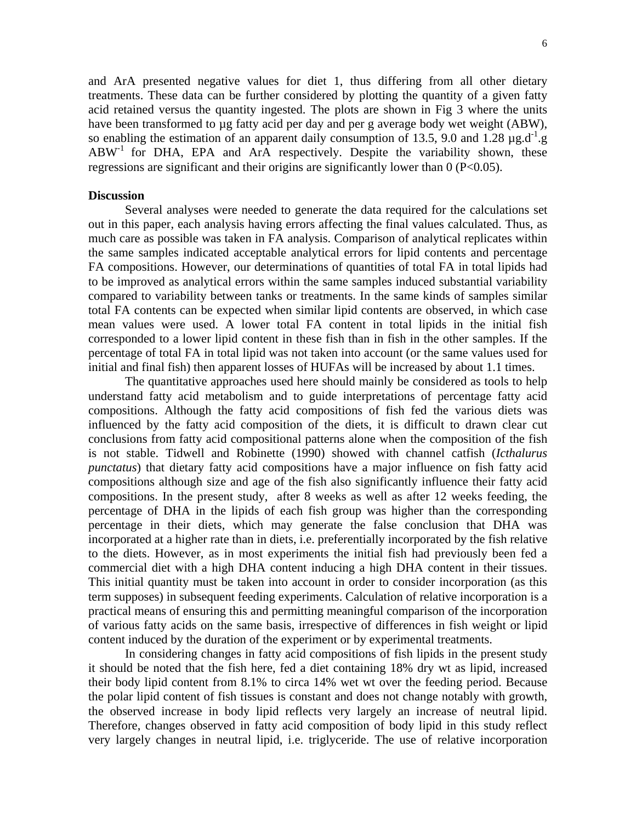and ArA presented negative values for diet 1, thus differing from all other dietary treatments. These data can be further considered by plotting the quantity of a given fatty acid retained versus the quantity ingested. The plots are shown in Fig 3 where the units have been transformed to µg fatty acid per day and per g average body wet weight (ABW), so enabling the estimation of an apparent daily consumption of 13.5, 9.0 and 1.28  $\mu$ g.d<sup>-1</sup>.g  $ABW<sup>-1</sup>$  for DHA, EPA and ArA respectively. Despite the variability shown, these regressions are significant and their origins are significantly lower than 0 (P<0.05).

### **Discussion**

 Several analyses were needed to generate the data required for the calculations set out in this paper, each analysis having errors affecting the final values calculated. Thus, as much care as possible was taken in FA analysis. Comparison of analytical replicates within the same samples indicated acceptable analytical errors for lipid contents and percentage FA compositions. However, our determinations of quantities of total FA in total lipids had to be improved as analytical errors within the same samples induced substantial variability compared to variability between tanks or treatments. In the same kinds of samples similar total FA contents can be expected when similar lipid contents are observed, in which case mean values were used. A lower total FA content in total lipids in the initial fish corresponded to a lower lipid content in these fish than in fish in the other samples. If the percentage of total FA in total lipid was not taken into account (or the same values used for initial and final fish) then apparent losses of HUFAs will be increased by about 1.1 times.

 The quantitative approaches used here should mainly be considered as tools to help understand fatty acid metabolism and to guide interpretations of percentage fatty acid compositions. Although the fatty acid compositions of fish fed the various diets was influenced by the fatty acid composition of the diets, it is difficult to drawn clear cut conclusions from fatty acid compositional patterns alone when the composition of the fish is not stable. Tidwell and Robinette (1990) showed with channel catfish (*Icthalurus punctatus*) that dietary fatty acid compositions have a major influence on fish fatty acid compositions although size and age of the fish also significantly influence their fatty acid compositions. In the present study, after 8 weeks as well as after 12 weeks feeding, the percentage of DHA in the lipids of each fish group was higher than the corresponding percentage in their diets, which may generate the false conclusion that DHA was incorporated at a higher rate than in diets, i.e. preferentially incorporated by the fish relative to the diets. However, as in most experiments the initial fish had previously been fed a commercial diet with a high DHA content inducing a high DHA content in their tissues. This initial quantity must be taken into account in order to consider incorporation (as this term supposes) in subsequent feeding experiments. Calculation of relative incorporation is a practical means of ensuring this and permitting meaningful comparison of the incorporation of various fatty acids on the same basis, irrespective of differences in fish weight or lipid content induced by the duration of the experiment or by experimental treatments.

 In considering changes in fatty acid compositions of fish lipids in the present study it should be noted that the fish here, fed a diet containing 18% dry wt as lipid, increased their body lipid content from 8.1% to circa 14% wet wt over the feeding period. Because the polar lipid content of fish tissues is constant and does not change notably with growth, the observed increase in body lipid reflects very largely an increase of neutral lipid. Therefore, changes observed in fatty acid composition of body lipid in this study reflect very largely changes in neutral lipid, i.e. triglyceride. The use of relative incorporation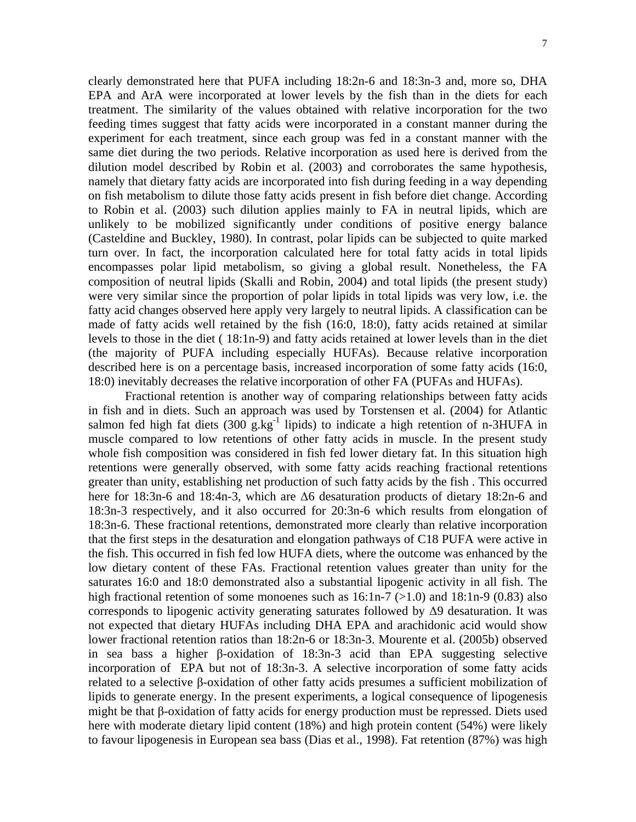clearly demonstrated here that PUFA including 18:2n-6 and 18:3n-3 and, more so, DHA EPA and ArA were incorporated at lower levels by the fish than in the diets for each treatment. The similarity of the values obtained with relative incorporation for the two feeding times suggest that fatty acids were incorporated in a constant manner during the experiment for each treatment, since each group was fed in a constant manner with the same diet during the two periods. Relative incorporation as used here is derived from the dilution model described by Robin et al. (2003) and corroborates the same hypothesis, namely that dietary fatty acids are incorporated into fish during feeding in a way depending on fish metabolism to dilute those fatty acids present in fish before diet change. According to Robin et al. (2003) such dilution applies mainly to FA in neutral lipids, which are unlikely to be mobilized significantly under conditions of positive energy balance (Casteldine and Buckley, 1980). In contrast, polar lipids can be subjected to quite marked turn over. In fact, the incorporation calculated here for total fatty acids in total lipids encompasses polar lipid metabolism, so giving a global result. Nonetheless, the FA composition of neutral lipids (Skalli and Robin, 2004) and total lipids (the present study) were very similar since the proportion of polar lipids in total lipids was very low, i.e. the fatty acid changes observed here apply very largely to neutral lipids. A classification can be made of fatty acids well retained by the fish (16:0, 18:0), fatty acids retained at similar levels to those in the diet ( 18:1n-9) and fatty acids retained at lower levels than in the diet (the majority of PUFA including especially HUFAs). Because relative incorporation described here is on a percentage basis, increased incorporation of some fatty acids (16:0, 18:0) inevitably decreases the relative incorporation of other FA (PUFAs and HUFAs).

Fractional retention is another way of comparing relationships between fatty acids in fish and in diets. Such an approach was used by Torstensen et al. (2004) for Atlantic salmon fed high fat diets  $(300 \text{ g/kg}^{-1} \text{ lipids})$  to indicate a high retention of n-3HUFA in muscle compared to low retentions of other fatty acids in muscle. In the present study whole fish composition was considered in fish fed lower dietary fat. In this situation high retentions were generally observed, with some fatty acids reaching fractional retentions greater than unity, establishing net production of such fatty acids by the fish . This occurred here for 18:3n-6 and 18:4n-3, which are Δ6 desaturation products of dietary 18:2n-6 and 18:3n-3 respectively, and it also occurred for 20:3n-6 which results from elongation of 18:3n-6. These fractional retentions, demonstrated more clearly than relative incorporation that the first steps in the desaturation and elongation pathways of C18 PUFA were active in the fish. This occurred in fish fed low HUFA diets, where the outcome was enhanced by the low dietary content of these FAs. Fractional retention values greater than unity for the saturates 16:0 and 18:0 demonstrated also a substantial lipogenic activity in all fish. The high fractional retention of some monoenes such as  $16:1n-7$  ( $>1.0$ ) and  $18:1n-9$  (0.83) also corresponds to lipogenic activity generating saturates followed by  $\Delta$ 9 desaturation. It was not expected that dietary HUFAs including DHA EPA and arachidonic acid would show lower fractional retention ratios than 18:2n-6 or 18:3n-3. Mourente et al. (2005b) observed in sea bass a higher β-oxidation of 18:3n-3 acid than EPA suggesting selective incorporation of EPA but not of 18:3n-3. A selective incorporation of some fatty acids related to a selective β-oxidation of other fatty acids presumes a sufficient mobilization of lipids to generate energy. In the present experiments, a logical consequence of lipogenesis might be that β-oxidation of fatty acids for energy production must be repressed. Diets used here with moderate dietary lipid content (18%) and high protein content (54%) were likely to favour lipogenesis in European sea bass (Dias et al., 1998). Fat retention (87%) was high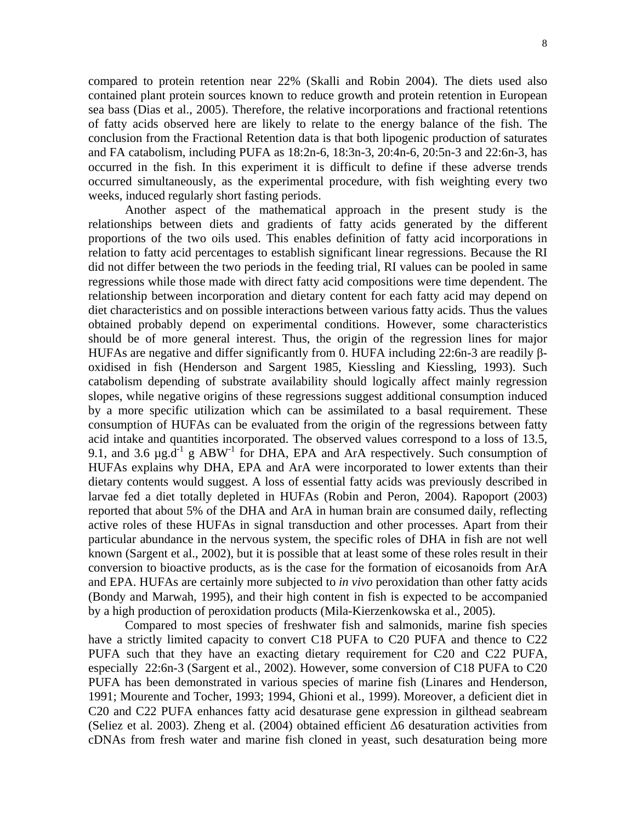compared to protein retention near 22% (Skalli and Robin 2004). The diets used also contained plant protein sources known to reduce growth and protein retention in European sea bass (Dias et al., 2005). Therefore, the relative incorporations and fractional retentions of fatty acids observed here are likely to relate to the energy balance of the fish. The conclusion from the Fractional Retention data is that both lipogenic production of saturates and FA catabolism, including PUFA as 18:2n-6, 18:3n-3, 20:4n-6, 20:5n-3 and 22:6n-3, has occurred in the fish. In this experiment it is difficult to define if these adverse trends occurred simultaneously, as the experimental procedure, with fish weighting every two weeks, induced regularly short fasting periods.

Another aspect of the mathematical approach in the present study is the relationships between diets and gradients of fatty acids generated by the different proportions of the two oils used. This enables definition of fatty acid incorporations in relation to fatty acid percentages to establish significant linear regressions. Because the RI did not differ between the two periods in the feeding trial, RI values can be pooled in same regressions while those made with direct fatty acid compositions were time dependent. The relationship between incorporation and dietary content for each fatty acid may depend on diet characteristics and on possible interactions between various fatty acids. Thus the values obtained probably depend on experimental conditions. However, some characteristics should be of more general interest. Thus, the origin of the regression lines for major HUFAs are negative and differ significantly from 0. HUFA including 22:6n-3 are readily βoxidised in fish (Henderson and Sargent 1985, Kiessling and Kiessling, 1993). Such catabolism depending of substrate availability should logically affect mainly regression slopes, while negative origins of these regressions suggest additional consumption induced by a more specific utilization which can be assimilated to a basal requirement. These consumption of HUFAs can be evaluated from the origin of the regressions between fatty acid intake and quantities incorporated. The observed values correspond to a loss of 13.5, 9.1, and 3.6  $\mu$ g.d<sup>-1</sup> g ABW<sup>-1</sup> for DHA, EPA and ArA respectively. Such consumption of HUFAs explains why DHA, EPA and ArA were incorporated to lower extents than their dietary contents would suggest. A loss of essential fatty acids was previously described in larvae fed a diet totally depleted in HUFAs (Robin and Peron, 2004). Rapoport (2003) reported that about 5% of the DHA and ArA in human brain are consumed daily, reflecting active roles of these HUFAs in signal transduction and other processes. Apart from their particular abundance in the nervous system, the specific roles of DHA in fish are not well known (Sargent et al., 2002), but it is possible that at least some of these roles result in their conversion to bioactive products, as is the case for the formation of eicosanoids from ArA and EPA. HUFAs are certainly more subjected to *in vivo* peroxidation than other fatty acids (Bondy and Marwah, 1995), and their high content in fish is expected to be accompanied by a high production of peroxidation products (Mila-Kierzenkowska et al., 2005).

Compared to most species of freshwater fish and salmonids, marine fish species have a strictly limited capacity to convert C18 PUFA to C20 PUFA and thence to C22 PUFA such that they have an exacting dietary requirement for C20 and C22 PUFA, especially 22:6n-3 (Sargent et al., 2002). However, some conversion of C18 PUFA to C20 PUFA has been demonstrated in various species of marine fish (Linares and Henderson, 1991; Mourente and Tocher, 1993; 1994, Ghioni et al., 1999). Moreover, a deficient diet in C20 and C22 PUFA enhances fatty acid desaturase gene expression in gilthead seabream (Seliez et al. 2003). Zheng et al. (2004) obtained efficient Δ6 desaturation activities from cDNAs from fresh water and marine fish cloned in yeast, such desaturation being more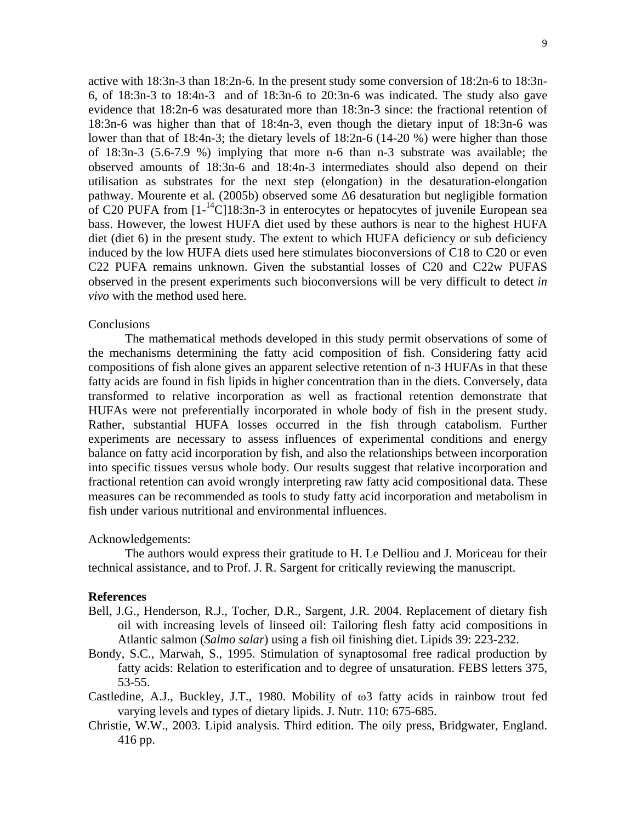active with 18:3n-3 than 18:2n-6. In the present study some conversion of 18:2n-6 to 18:3n-6, of 18:3n-3 to 18:4n-3 and of 18:3n-6 to 20:3n-6 was indicated. The study also gave evidence that 18:2n-6 was desaturated more than 18:3n-3 since: the fractional retention of 18:3n-6 was higher than that of 18:4n-3, even though the dietary input of 18:3n-6 was lower than that of 18:4n-3; the dietary levels of 18:2n-6 (14-20 %) were higher than those of 18:3n-3 (5.6-7.9 %) implying that more n-6 than n-3 substrate was available; the observed amounts of 18:3n-6 and 18:4n-3 intermediates should also depend on their utilisation as substrates for the next step (elongation) in the desaturation-elongation pathway. Mourente et al*.* (2005b) observed some Δ6 desaturation but negligible formation of C20 PUFA from  $[1^{-14}C]18:3n-3$  in enterocytes or hepatocytes of juvenile European sea bass. However, the lowest HUFA diet used by these authors is near to the highest HUFA diet (diet 6) in the present study. The extent to which HUFA deficiency or sub deficiency induced by the low HUFA diets used here stimulates bioconversions of C18 to C20 or even C22 PUFA remains unknown. Given the substantial losses of C20 and C22w PUFAS observed in the present experiments such bioconversions will be very difficult to detect *in vivo* with the method used here*.*

### Conclusions

The mathematical methods developed in this study permit observations of some of the mechanisms determining the fatty acid composition of fish. Considering fatty acid compositions of fish alone gives an apparent selective retention of n-3 HUFAs in that these fatty acids are found in fish lipids in higher concentration than in the diets. Conversely, data transformed to relative incorporation as well as fractional retention demonstrate that HUFAs were not preferentially incorporated in whole body of fish in the present study. Rather, substantial HUFA losses occurred in the fish through catabolism. Further experiments are necessary to assess influences of experimental conditions and energy balance on fatty acid incorporation by fish, and also the relationships between incorporation into specific tissues versus whole body. Our results suggest that relative incorporation and fractional retention can avoid wrongly interpreting raw fatty acid compositional data. These measures can be recommended as tools to study fatty acid incorporation and metabolism in fish under various nutritional and environmental influences.

### Acknowledgements:

The authors would express their gratitude to H. Le Delliou and J. Moriceau for their technical assistance, and to Prof. J. R. Sargent for critically reviewing the manuscript.

### **References**

- Bell, J.G., Henderson, R.J., Tocher, D.R., Sargent, J.R. 2004. Replacement of dietary fish oil with increasing levels of linseed oil: Tailoring flesh fatty acid compositions in Atlantic salmon (*Salmo salar*) using a fish oil finishing diet. Lipids 39: 223-232.
- Bondy, S.C., Marwah, S., 1995. Stimulation of synaptosomal free radical production by fatty acids: Relation to esterification and to degree of unsaturation. FEBS letters 375, 53-55.
- Castledine, A.J., Buckley, J.T., 1980. Mobility of ω3 fatty acids in rainbow trout fed varying levels and types of dietary lipids. J. Nutr. 110: 675-685.
- Christie, W.W., 2003. Lipid analysis. Third edition. The oily press, Bridgwater, England. 416 pp.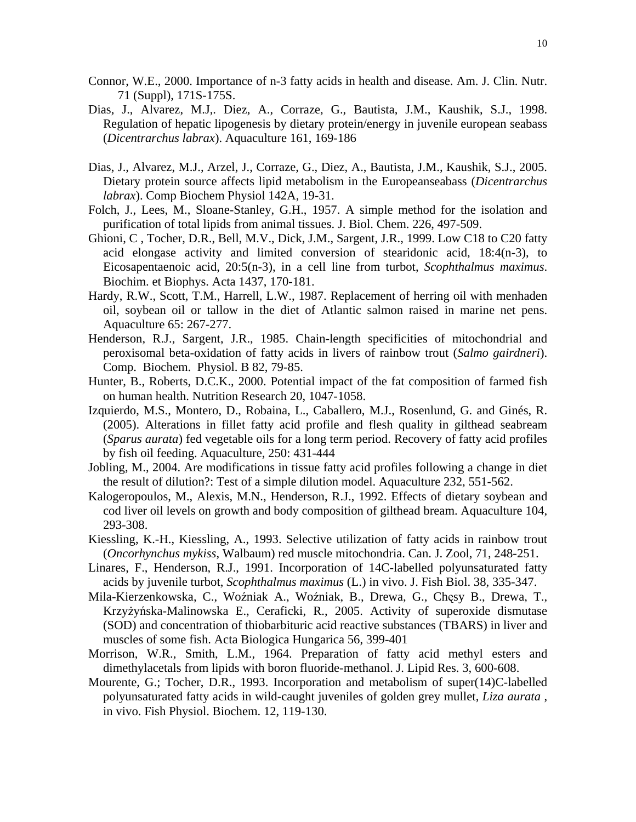- Connor, W.E., 2000. Importance of n-3 fatty acids in health and disease. Am. J. Clin. Nutr. 71 (Suppl), 171S-175S.
- Dias, J., Alvarez, M.J,. Diez, A., Corraze, G., Bautista, J.M., Kaushik, S.J., 1998. Regulation of hepatic lipogenesis by dietary protein/energy in juvenile european seabass (*Dicentrarchus labrax*). Aquaculture 161, 169-186
- Dias, J., Alvarez, M.J., Arzel, J., Corraze, G., Diez, A., Bautista, J.M., Kaushik, S.J., 2005. Dietary protein source affects lipid metabolism in the Europeanseabass (*Dicentrarchus labrax*). Comp Biochem Physiol 142A, 19-31.
- Folch, J., Lees, M., Sloane-Stanley, G.H., 1957. A simple method for the isolation and purification of total lipids from animal tissues. J. Biol. Chem. 226, 497-509.
- Ghioni, C , Tocher, D.R., Bell, M.V., Dick, J.M., Sargent, J.R., 1999. Low C18 to C20 fatty acid elongase activity and limited conversion of stearidonic acid, 18:4(n-3), to Eicosapentaenoic acid, 20:5(n-3), in a cell line from turbot, *Scophthalmus maximus*. Biochim. et Biophys. Acta 1437, 170-181.
- Hardy, R.W., Scott, T.M., Harrell, L.W., 1987. Replacement of herring oil with menhaden oil, soybean oil or tallow in the diet of Atlantic salmon raised in marine net pens. Aquaculture 65: 267-277.
- Henderson, R.J., Sargent, J.R., 1985. Chain-length specificities of mitochondrial and peroxisomal beta-oxidation of fatty acids in livers of rainbow trout (*Salmo gairdneri*). Comp. Biochem. Physiol. B 82, 79-85.
- Hunter, B., Roberts, D.C.K., 2000. Potential impact of the fat composition of farmed fish on human health. Nutrition Research 20, 1047-1058.
- Izquierdo, M.S., Montero, D., Robaina, L., Caballero, M.J., Rosenlund, G. and Ginés, R. (2005). Alterations in fillet fatty acid profile and flesh quality in gilthead seabream (*Sparus aurata*) fed vegetable oils for a long term period. Recovery of fatty acid profiles by fish oil feeding. Aquaculture, 250: 431-444
- Jobling, M., 2004. Are modifications in tissue fatty acid profiles following a change in diet the result of dilution?: Test of a simple dilution model. Aquaculture 232, 551-562.
- Kalogeropoulos, M., Alexis, M.N., Henderson, R.J., 1992. Effects of dietary soybean and cod liver oil levels on growth and body composition of gilthead bream. Aquaculture 104, 293-308.
- Kiessling, K.-H., Kiessling, A., 1993. Selective utilization of fatty acids in rainbow trout (*Oncorhynchus mykiss*, Walbaum) red muscle mitochondria. Can. J. Zool, 71, 248-251.
- Linares, F., Henderson, R.J., 1991. Incorporation of 14C-labelled polyunsaturated fatty acids by juvenile turbot, *Scophthalmus maximus* (L.) in vivo. J. Fish Biol. 38, 335-347.
- Mila-Kierzenkowska, C., Woźniak A., Woźniak, B., Drewa, G., Chęsy B., Drewa, T., Krzyżyńska-Malinowska E., Ceraficki, R., 2005. Activity of superoxide dismutase (SOD) and concentration of thiobarbituric acid reactive substances (TBARS) in liver and muscles of some fish. Acta Biologica Hungarica 56, 399-401
- Morrison, W.R., Smith, L.M., 1964. Preparation of fatty acid methyl esters and dimethylacetals from lipids with boron fluoride-methanol. J. Lipid Res. 3, 600-608.
- Mourente, G.; Tocher, D.R., 1993. Incorporation and metabolism of super(14)C-labelled polyunsaturated fatty acids in wild-caught juveniles of golden grey mullet, *Liza aurata* , in vivo. Fish Physiol. Biochem. 12, 119-130.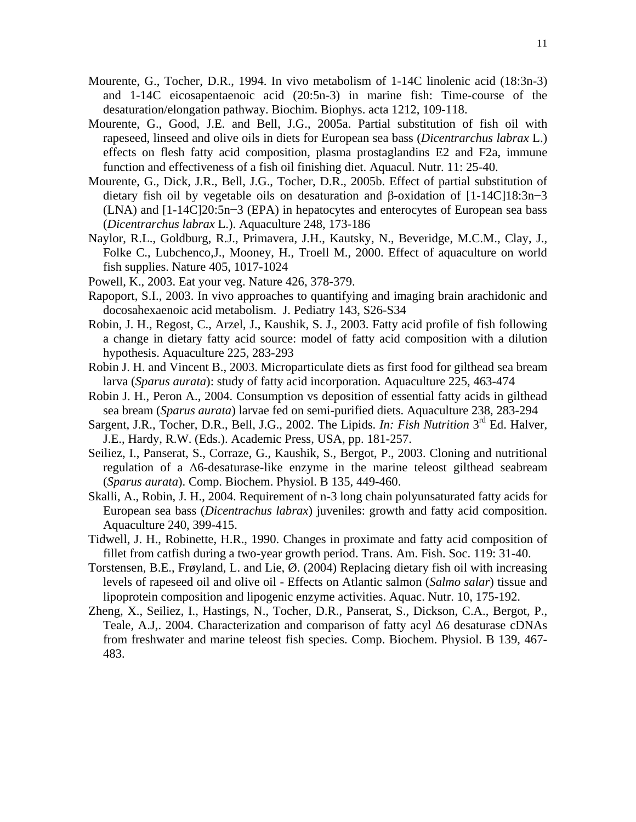- Mourente, G., Tocher, D.R., 1994. In vivo metabolism of 1-14C linolenic acid (18:3n-3) and 1-14C eicosapentaenoic acid (20:5n-3) in marine fish: Time-course of the desaturation/elongation pathway. Biochim. Biophys. acta 1212, 109-118.
- Mourente, G., Good, J.E. and Bell, J.G., 2005a. Partial substitution of fish oil with rapeseed, linseed and olive oils in diets for European sea bass (*Dicentrarchus labrax* L.) effects on flesh fatty acid composition, plasma prostaglandins E2 and F2a, immune function and effectiveness of a fish oil finishing diet. Aquacul. Nutr. 11: 25-40.
- Mourente, G., Dick, J.R., Bell, J.G., Tocher, D.R., 2005b. Effect of partial substitution of dietary fish oil by vegetable oils on desaturation and β-oxidation of [1-14C]18:3n−3 (LNA) and [1-14C]20:5n−3 (EPA) in hepatocytes and enterocytes of European sea bass (*Dicentrarchus labrax* L.). Aquaculture 248, 173-186
- Naylor, R.L., Goldburg, R.J., Primavera, J.H., Kautsky, N., Beveridge, M.C.M., Clay, J., Folke C., Lubchenco,J., Mooney, H., Troell M., 2000. Effect of aquaculture on world fish supplies. Nature 405, 1017-1024
- Powell, K., 2003. Eat your veg. Nature 426, 378-379.
- Rapoport, S.I., 2003. In vivo approaches to quantifying and imaging brain arachidonic and docosahexaenoic acid metabolism. J. Pediatry 143, S26-S34
- Robin, J. H., Regost, C., Arzel, J., Kaushik, S. J., 2003. Fatty acid profile of fish following a change in dietary fatty acid source: model of fatty acid composition with a dilution hypothesis. Aquaculture 225, 283-293
- Robin J. H. and Vincent B., 2003. Microparticulate diets as first food for gilthead sea bream larva (*Sparus aurata*): study of fatty acid incorporation. Aquaculture 225, 463-474
- Robin J. H., Peron A., 2004. Consumption vs deposition of essential fatty acids in gilthead sea bream (*Sparus aurata*) larvae fed on semi-purified diets. Aquaculture 238, 283-294
- Sargent, J.R., Tocher, D.R., Bell, J.G., 2002. The Lipids. *In: Fish Nutrition* 3<sup>rd</sup> Ed. Halver, J.E., Hardy, R.W. (Eds.). Academic Press, USA, pp. 181-257.
- Seiliez, I., Panserat, S., Corraze, G., Kaushik, S., Bergot, P., 2003. Cloning and nutritional regulation of a Δ6-desaturase-like enzyme in the marine teleost gilthead seabream (*Sparus aurata*). Comp. Biochem. Physiol. B 135, 449-460.
- Skalli, A., Robin, J. H., 2004. Requirement of n-3 long chain polyunsaturated fatty acids for European sea bass (*Dicentrachus labrax*) juveniles: growth and fatty acid composition. Aquaculture 240, 399-415.
- Tidwell, J. H., Robinette, H.R., 1990. Changes in proximate and fatty acid composition of fillet from catfish during a two-year growth period. Trans. Am. Fish. Soc. 119: 31-40.
- Torstensen, B.E., Frøyland, L. and Lie, Ø. (2004) Replacing dietary fish oil with increasing levels of rapeseed oil and olive oil - Effects on Atlantic salmon (*Salmo salar*) tissue and lipoprotein composition and lipogenic enzyme activities. Aquac. Nutr. 10, 175-192.
- Zheng, X., Seiliez, I., Hastings, N., Tocher, D.R., Panserat, S., Dickson, C.A., Bergot, P., Teale, A.J,. 2004. Characterization and comparison of fatty acyl Δ6 desaturase cDNAs from freshwater and marine teleost fish species. Comp. Biochem. Physiol. B 139, 467- 483.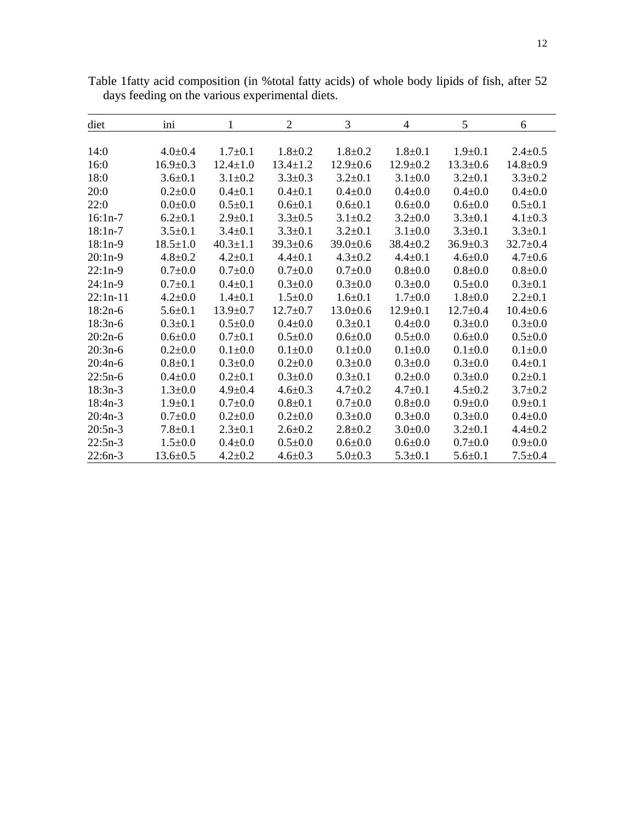| diet       | ini            | 1              | $\mathfrak{2}$ | 3             | 4              | 5              | 6              |
|------------|----------------|----------------|----------------|---------------|----------------|----------------|----------------|
| 14:0       | $4.0 \pm 0.4$  | $1.7 \pm 0.1$  | $1.8 \pm 0.2$  | $1.8 \pm 0.2$ | $1.8 \pm 0.1$  | $1.9 \pm 0.1$  | $2.4 \pm 0.5$  |
| 16:0       | $16.9 + 0.3$   | $12.4 \pm 1.0$ | $13.4 \pm 1.2$ | $12.9 + 0.6$  | $12.9 + 0.2$   | $13.3 + 0.6$   | $14.8 \pm 0.9$ |
| 18:0       | $3.6 + 0.1$    | $3.1 \pm 0.2$  | $3.3 \pm 0.3$  | $3.2 \pm 0.1$ | $3.1 \pm 0.0$  | $3.2 \pm 0.1$  | $3.3 \pm 0.2$  |
| 20:0       | $0.2{\pm}0.0$  | $0.4 \pm 0.1$  | $0.4 \pm 0.1$  | $0.4 \pm 0.0$ | $0.4 \pm 0.0$  | $0.4 \pm 0.0$  | $0.4 \pm 0.0$  |
| 22:0       | $0.0 + 0.0$    | $0.5 \pm 0.1$  | $0.6 \pm 0.1$  | $0.6 \pm 0.1$ | $0.6 + 0.0$    | $0.6 + 0.0$    | $0.5 \pm 0.1$  |
| $16:1n-7$  | $6.2 \pm 0.1$  | $2.9 + 0.1$    | $3.3 \pm 0.5$  | $3.1 \pm 0.2$ | $3.2 \pm 0.0$  | $3.3 \pm 0.1$  | $4.1 \pm 0.3$  |
| $18:1n-7$  | $3.5 \pm 0.1$  | $3.4 \pm 0.1$  | $3.3 \pm 0.1$  | $3.2 \pm 0.1$ | $3.1 \pm 0.0$  | $3.3 \pm 0.1$  | $3.3 \pm 0.1$  |
| $18:1n-9$  | $18.5 \pm 1.0$ | $40.3 \pm 1.1$ | $39.3 \pm 0.6$ | $39.0+0.6$    | $38.4 \pm 0.2$ | $36.9 \pm 0.3$ | $32.7 \pm 0.4$ |
| $20:1n-9$  | $4.8 + 0.2$    | $4.2 \pm 0.1$  | $4.4 \pm 0.1$  | $4.3 \pm 0.2$ | $4.4 \pm 0.1$  | $4.6 \pm 0.0$  | $4.7 + 0.6$    |
| $22:1n-9$  | $0.7+0.0$      | $0.7+0.0$      | $0.7+0.0$      | $0.7+0.0$     | $0.8 + 0.0$    | $0.8 + 0.0$    | $0.8 + 0.0$    |
| $24:1n-9$  | $0.7 + 0.1$    | $0.4 \pm 0.1$  | $0.3 \pm 0.0$  | $0.3 \pm 0.0$ | $0.3 \pm 0.0$  | $0.5 \pm 0.0$  | $0.3 \pm 0.1$  |
| $22:1n-11$ | $4.2 \pm 0.0$  | $1.4 \pm 0.1$  | $1.5 \pm 0.0$  | $1.6 + 0.1$   | $1.7 \pm 0.0$  | $1.8 \pm 0.0$  | $2.2 \pm 0.1$  |
| $18:2n-6$  | $5.6 \pm 0.1$  | $13.9 \pm 0.7$ | $12.7 \pm 0.7$ | $13.0+0.6$    | $12.9 \pm 0.1$ | $12.7 \pm 0.4$ | $10.4 \pm 0.6$ |
| $18:3n-6$  | $0.3 \pm 0.1$  | $0.5 \pm 0.0$  | $0.4 \pm 0.0$  | $0.3 \pm 0.1$ | $0.4 \pm 0.0$  | $0.3 \pm 0.0$  | $0.3 \pm 0.0$  |
| $20:2n-6$  | $0.6 \pm 0.0$  | $0.7 \pm 0.1$  | $0.5 \pm 0.0$  | $0.6 + 0.0$   | $0.5 \pm 0.0$  | $0.6 + 0.0$    | $0.5 \pm 0.0$  |
| $20:3n-6$  | $0.2{\pm}0.0$  | $0.1 \pm 0.0$  | $0.1 + 0.0$    | $0.1 + 0.0$   | $0.1 + 0.0$    | $0.1 + 0.0$    | $0.1 + 0.0$    |
| $20:4n-6$  | $0.8 + 0.1$    | $0.3 \pm 0.0$  | $0.2 \pm 0.0$  | $0.3 \pm 0.0$ | $0.3 \pm 0.0$  | $0.3 \pm 0.0$  | $0.4 \pm 0.1$  |
| $22:5n-6$  | $0.4 \pm 0.0$  | $0.2 + 0.1$    | $0.3 + 0.0$    | $0.3 + 0.1$   | $0.2+0.0$      | $0.3 \pm 0.0$  | $0.2 \pm 0.1$  |
| $18:3n-3$  | $1.3 \pm 0.0$  | $4.9 \pm 0.4$  | $4.6 \pm 0.3$  | $4.7 \pm 0.2$ | $4.7 \pm 0.1$  | $4.5 \pm 0.2$  | $3.7 \pm 0.2$  |
| $18:4n-3$  | $1.9 + 0.1$    | $0.7 + 0.0$    | $0.8 + 0.1$    | $0.7 + 0.0$   | $0.8 + 0.0$    | $0.9 + 0.0$    | $0.9 + 0.1$    |
| $20:4n-3$  | $0.7 \pm 0.0$  | $0.2 \pm 0.0$  | $0.2 \pm 0.0$  | $0.3 \pm 0.0$ | $0.3 \pm 0.0$  | $0.3 \pm 0.0$  | $0.4 \pm 0.0$  |
| $20:5n-3$  | $7.8 \pm 0.1$  | $2.3 \pm 0.1$  | $2.6 \pm 0.2$  | $2.8 \pm 0.2$ | $3.0+0.0$      | $3.2 \pm 0.1$  | $4.4 \pm 0.2$  |
| $22:5n-3$  | $1.5 \pm 0.0$  | $0.4 \pm 0.0$  | $0.5 \pm 0.0$  | $0.6 + 0.0$   | $0.6 \pm 0.0$  | $0.7 + 0.0$    | $0.9 + 0.0$    |
| $22:6n-3$  | $13.6 \pm 0.5$ | $4.2 \pm 0.2$  | $4.6 \pm 0.3$  | $5.0 \pm 0.3$ | $5.3 \pm 0.1$  | $5.6 \pm 0.1$  | $7.5 \pm 0.4$  |

Table 1fatty acid composition (in %total fatty acids) of whole body lipids of fish, after 52 days feeding on the various experimental diets.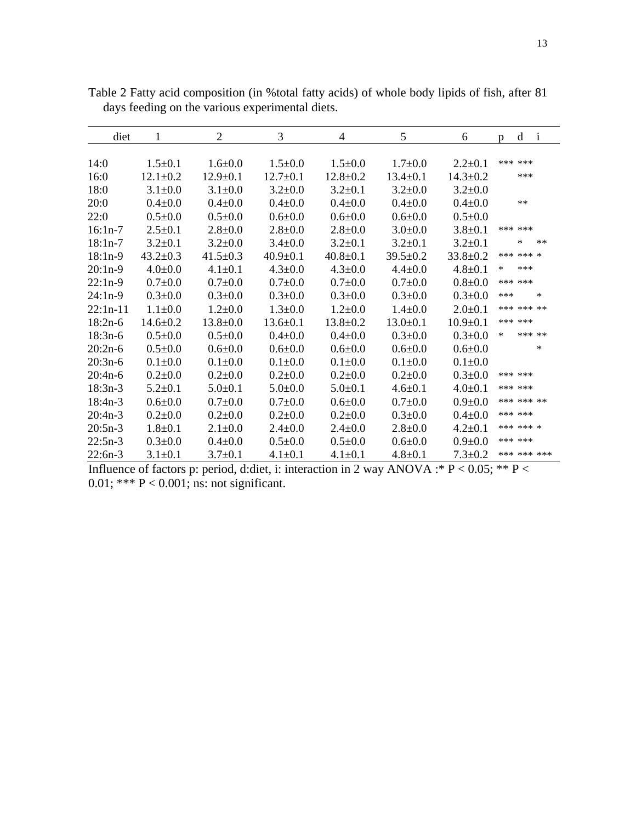| diet       | 1              | $\overline{2}$ | 3              | 4              | 5              | 6              | D   | d          | $\mathbf{i}$ |
|------------|----------------|----------------|----------------|----------------|----------------|----------------|-----|------------|--------------|
|            |                |                |                |                |                |                |     |            |              |
| 14:0       | $1.5 \pm 0.1$  | $1.6 \pm 0.0$  | $1.5 \pm 0.0$  | $1.5 \pm 0.0$  | $1.7 \pm 0.0$  | $2.2+0.1$      |     | *** ***    |              |
| 16:0       | $12.1 \pm 0.2$ | $12.9 \pm 0.1$ | $12.7 \pm 0.1$ | $12.8 \pm 0.2$ | $13.4 \pm 0.1$ | $14.3 \pm 0.2$ |     | ***        |              |
| 18:0       | $3.1 \pm 0.0$  | $3.1 \pm 0.0$  | $3.2 \pm 0.0$  | $3.2 \pm 0.1$  | $3.2 \pm 0.0$  | $3.2 \pm 0.0$  |     |            |              |
| 20:0       | $0.4 \pm 0.0$  | $0.4 + 0.0$    | $0.4 \pm 0.0$  | $0.4 \pm 0.0$  | $0.4 \pm 0.0$  | $0.4 \pm 0.0$  |     | **         |              |
| 22:0       | $0.5 \pm 0.0$  | $0.5 \pm 0.0$  | $0.6 + 0.0$    | $0.6 + 0.0$    | $0.6 + 0.0$    | $0.5 \pm 0.0$  |     |            |              |
| $16:1n-7$  | $2.5 \pm 0.1$  | $2.8 \pm 0.0$  | $2.8 + 0.0$    | $2.8 + 0.0$    | $3.0 + 0.0$    | $3.8 + 0.1$    |     | *** ***    |              |
| $18:1n-7$  | $3.2 \pm 0.1$  | $3.2 \pm 0.0$  | $3.4 \pm 0.0$  | $3.2 \pm 0.1$  | $3.2 \pm 0.1$  | $3.2 \pm 0.1$  |     | *          | $**$         |
| $18:1n-9$  | $43.2 \pm 0.3$ | $41.5 \pm 0.3$ | $40.9 \pm 0.1$ | $40.8 \pm 0.1$ | $39.5 \pm 0.2$ | $33.8 \pm 0.2$ |     | *** *** *  |              |
| $20:1n-9$  | $4.0 + 0.0$    | $4.1 \pm 0.1$  | $4.3 \pm 0.0$  | $4.3 \pm 0.0$  | $4.4 \pm 0.0$  | $4.8 + 0.1$    | *   | ***        |              |
| $22:1n-9$  | $0.7 + 0.0$    | $0.7 \pm 0.0$  | $0.7 + 0.0$    | $0.7 \pm 0.0$  | $0.7 \pm 0.0$  | $0.8 + 0.0$    |     | *** ***    |              |
| $24:1n-9$  | $0.3 \pm 0.0$  | $0.3 \pm 0.0$  | $0.3 \pm 0.0$  | $0.3 \pm 0.0$  | $0.3 \pm 0.0$  | $0.3 \pm 0.0$  | *** |            | $\ast$       |
| $22:1n-11$ | $1.1 \pm 0.0$  | $1.2 \pm 0.0$  | $1.3 \pm 0.0$  | $1.2 \pm 0.0$  | $1.4 \pm 0.0$  | $2.0 \pm 0.1$  |     | *** *** ** |              |
| $18:2n-6$  | $14.6 \pm 0.2$ | $13.8 \pm 0.0$ | $13.6 \pm 0.1$ | $13.8 \pm 0.2$ | $13.0 \pm 0.1$ | $10.9 \pm 0.1$ |     | *** ***    |              |
| $18:3n-6$  | $0.5 \pm 0.0$  | $0.5 \pm 0.0$  | $0.4 \pm 0.0$  | $0.4 \pm 0.0$  | $0.3 \pm 0.0$  | $0.3 \pm 0.0$  | *   |            | *** **       |
| $20:2n-6$  | $0.5 \pm 0.0$  | $0.6 + 0.0$    | $0.6 + 0.0$    | $0.6 + 0.0$    | $0.6 + 0.0$    | $0.6 + 0.0$    |     |            | *            |
| $20:3n-6$  | $0.1 \pm 0.0$  | $0.1 \pm 0.0$  | $0.1 \pm 0.0$  | $0.1 \pm 0.0$  | $0.1 + 0.0$    | $0.1 + 0.0$    |     |            |              |
| $20:4n-6$  | $0.2 \pm 0.0$  | $0.2 \pm 0.0$  | $0.2 \pm 0.0$  | $0.2 \pm 0.0$  | $0.2 \pm 0.0$  | $0.3 \pm 0.0$  |     | *** ***    |              |
| $18:3n-3$  | $5.2 \pm 0.1$  | $5.0 \pm 0.1$  | $5.0+0.0$      | $5.0 \pm 0.1$  | $4.6 \pm 0.1$  | $4.0 \pm 0.1$  |     | *** ***    |              |
| $18:4n-3$  | $0.6 \pm 0.0$  | $0.7 + 0.0$    | $0.7 \pm 0.0$  | $0.6 + 0.0$    | $0.7 + 0.0$    | $0.9 + 0.0$    |     | *** *** ** |              |
| $20:4n-3$  | $0.2 \pm 0.0$  | $0.2 \pm 0.0$  | $0.2 \pm 0.0$  | $0.2 \pm 0.0$  | $0.3 + 0.0$    | $0.4 \pm 0.0$  |     | *** ***    |              |
| $20:5n-3$  | $1.8 + 0.1$    | $2.1 \pm 0.0$  | $2.4 \pm 0.0$  | $2.4 \pm 0.0$  | $2.8 + 0.0$    | $4.2 \pm 0.1$  |     | *** *** *  |              |
| $22:5n-3$  | $0.3 \pm 0.0$  | $0.4 \pm 0.0$  | $0.5 \pm 0.0$  | $0.5 \pm 0.0$  | $0.6 + 0.0$    | $0.9+0.0$      |     | *** ***    |              |
| $22:6n-3$  | $3.1 \pm 0.1$  | $3.7 \pm 0.1$  | $4.1 \pm 0.1$  | $4.1 \pm 0.1$  | $4.8 + 0.1$    | $7.3 \pm 0.2$  |     |            | *** *** ***  |

Table 2 Fatty acid composition (in %total fatty acids) of whole body lipids of fish, after 81 days feeding on the various experimental diets.

Influence of factors p: period, d:diet, i: interaction in 2 way ANOVA :\*  $P < 0.05$ ; \*\*  $P <$ 0.01; \*\*\*  $P < 0.001$ ; ns: not significant.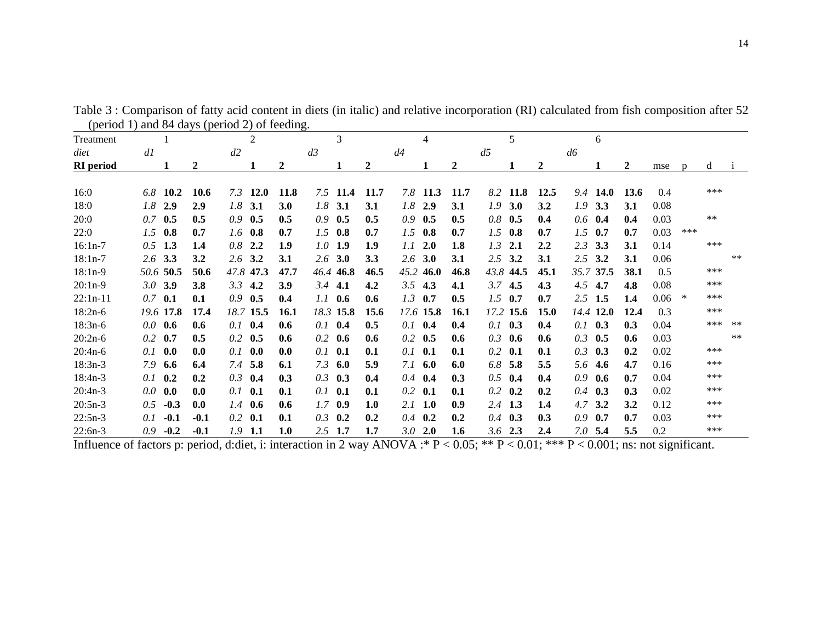| (perfouring and off days (perfouring b) feeding. |     |               |        |                 |                |             |                   |                |                 |                  |                   |                |     |           |              |          |     |       |      |
|--------------------------------------------------|-----|---------------|--------|-----------------|----------------|-------------|-------------------|----------------|-----------------|------------------|-------------------|----------------|-----|-----------|--------------|----------|-----|-------|------|
| Treatment                                        |     |               |        |                 | $\overline{2}$ |             | 3                 |                | $\overline{4}$  |                  | 5                 |                |     | 6         |              |          |     |       |      |
| diet                                             | dl  |               |        | d2              |                |             | d3                |                | d4              |                  | d5                |                | d6  |           |              |          |     |       |      |
| <b>RI</b> period                                 |     |               | 2      |                 |                | 2           |                   | $\overline{2}$ | 1               | $\boldsymbol{2}$ |                   | $\overline{2}$ |     |           | $\mathbf{2}$ | mse      |     | d     |      |
|                                                  |     |               |        |                 |                |             |                   |                |                 |                  |                   |                |     |           |              |          |     |       |      |
| 16:0                                             | 6.8 | 10.2          | 10.6   |                 | $7.3$ 12.0     | 11.8        | $7.5$ 11.4        | 11.7           | $7.8$ 11.3      | 11.7             | 8.2 11.8          | 12.5           |     | 9.4 14.0  | 13.6         | 0.4      |     | ***   |      |
| 18:0                                             |     | $1.8$ 2.9     | 2.9    | $1.8$ 3.1       |                | 3.0         | 1.8<br>3.1        | 3.1            | $1.8\,$<br>2.9  | 3.1              | 1.9<br><b>3.0</b> | 3.2            |     | $1.9$ 3.3 | 3.1          | 0.08     |     |       |      |
| 20:0                                             |     | $0.7$ 0.5     | 0.5    | $0.9$ 0.5       |                | 0.5         | 0.9<br>0.5        | 0.5            | 0.9<br>0.5      | 0.5              | $0.8$ 0.5         | 0.4            | 0.6 | 0.4       | 0.4          | 0.03     |     | $***$ |      |
| 22:0                                             |     | $1.5$ 0.8     | 0.7    | $1.6$ 0.8       |                | 0.7         | $1.5$ 0.8         | 0.7            | 1.5<br>0.8      | 0.7              | $1.5$ 0.8         | 0.7            |     | $1.5$ 0.7 | 0.7          | 0.03     | *** |       |      |
| $16:1n-7$                                        |     | $0.5$ 1.3     | 1.4    | $0.8$ 2.2       |                | 1.9         | $1.0$ 1.9         | 1.9            | 2.0<br>1.1      | 1.8              | $1.3$ 2.1         | 2.2            |     | $2.3$ 3.3 | 3.1          | 0.14     |     | ***   |      |
| $18:1n-7$                                        |     | $2.6$ 3.3     | 3.2    | $2.6$ 3.2       |                | 3.1         | 2.6<br><b>3.0</b> | 3.3            | 3.0<br>2.6      | 3.1              | $2.5$ 3.2         | 3.1            |     | $2.5$ 3.2 | 3.1          | 0.06     |     |       | $**$ |
| $18:1n-9$                                        |     | 50.6 50.5     | 50.6   |                 | 47.8 47.3      | 47.7        | 46.8<br>46.4      | 46.5           | 45.2<br>46.0    | 46.8             | 43.8 44.5         | 45.1           |     | 35.7 37.5 | 38.1         | 0.5      |     | ***   |      |
| $20:1n-9$                                        |     | $3.0$ 3.9     | 3.8    | 3.3             | 4.2            | 3.9         | 3.4<br>4.1        | 4.2            | 3.5<br>4.3      | 4.1              | $3.7$ 4.5         | 4.3            | 4.5 | 4.7       | 4.8          | 0.08     |     | ***   |      |
| $22:1n-11$                                       |     | $0.7$ 0.1     | 0.1    | $0.9$ 0.5       |                | 0.4         | 1.1<br>0.6        | 0.6            | 1.3<br>0.7      | 0.5              | $1.5$ 0.7         | 0.7            |     | $2.5$ 1.5 | 1.4          | $0.06$ * |     | ***   |      |
| $18:2n-6$                                        |     | 19.6 17.8     | 17.4   |                 | 18.7 15.5      | <b>16.1</b> | 18.3 15.8         | 15.6           | 17.6 15.8       | <b>16.1</b>      | 17.2 15.6         | <b>15.0</b>    |     | 14.4 12.0 | 12.4         | 0.3      |     | ***   |      |
| $18:3n-6$                                        |     | $0.0\;\;$ 0.6 | 0.6    | $0.1$ 0.4       |                | 0.6         | 0.1<br>0.4        | 0.5            | $0.1 \quad 0.4$ | 0.4              | $0.1$ 0.3         | 0.4            |     | $0.1$ 0.3 | 0.3          | 0.04     |     | ***   | $**$ |
|                                                  |     |               | 0.5    |                 |                |             |                   | 0.6            |                 | 0.6              |                   | 0.6            |     | 0.5       |              |          |     |       | $**$ |
| $20:2n-6$                                        |     | $0.2$ 0.7     |        | $0.2 \quad 0.5$ |                | 0.6         | 0.2<br>0.6        |                | 0.2<br>0.5      |                  | 0.6<br>0.3        |                | 0.3 |           | 0.6          | 0.03     |     | ***   |      |
| $20:4n-6$                                        | 0.1 | 0.0           | 0.0    | 0.1             | 0.0            | 0.0         | 0.1<br>0.1        | 0.1            | 0.1<br>0.1      | 0.1              | $0.2$ 0.1         | 0.1            | 0.3 | 0.3       | 0.2          | 0.02     |     |       |      |
| $18:3n-3$                                        | 7.9 | 6.6           | 6.4    | 7.4             | 5.8            | 6.1         | 7.3<br>6.0        | 5.9            | 7.1<br>6.0      | 6.0              | 6.8 5.8           | 5.5            | 5.6 | 4.6       | 4.7          | 0.16     |     | ***   |      |
| $18:4n-3$                                        | 0.1 | 0.2           | 0.2    | 0.3             | 0.4            | 0.3         | 0.3<br>0.3        | 0.4            | 0.4<br>0.4      | 0.3              | 0.5<br>0.4        | 0.4            | 0.9 | 0.6       | 0.7          | 0.04     |     | ***   |      |
| $20:4n-3$                                        |     | $0.0\ 0.0$    | 0.0    | $0.1$ 0.1       |                | 0.1         | 0.1<br>0.1        | 0.1            | $0.2\,$<br>0.1  | 0.1              | $0.2 \quad 0.2$   | 0.2            |     | $0.4$ 0.3 | 0.3          | 0.02     |     | ***   |      |
| $20:5n-3$                                        | 0.5 | $-0.3$        | 0.0    | $1.4$ 0.6       |                | 0.6         | 1.7<br>0.9        | 1.0            | $2.1\quad1.0$   | 0.9              | $2.4$ 1.3         | 1.4            |     | $4.7$ 3.2 | 3.2          | 0.12     |     | ***   |      |
| $22:5n-3$                                        | 0.1 | $-0.1$        | $-0.1$ | $0.2$ 0.1       |                | 0.1         | 0.3<br>0.2        | 0.2            | 0.2<br>0.4      | 0.2              | $0.4$ 0.3         | 0.3            | 0.9 | 0.7       | 0.7          | 0.03     |     | ***   |      |
| $22:6n-3$                                        | 0.9 | $-0.2$        | $-0.1$ | $1.9$ 1.1       |                | 1.0         | $2.5$ 1.7         | 1.7            | $3.0\;\;2.0$    | 1.6              | $3.6$ 2.3         | 2.4            |     | $7.0$ 5.4 | 5.5          | 0.2      |     | ***   |      |

Table 3 : Comparison of fatty acid content in diets (in italic) and relative incorporation (RI) calculated from fish composition after 52 (period 1) and 84 days (period 2) of feeding.

Influence of factors p: period, d:diet, i: interaction in 2 way ANOVA :\*  $P < 0.05$ ; \*\*  $P < 0.01$ ; \*\*\*  $P < 0.001$ ; ns: not significant.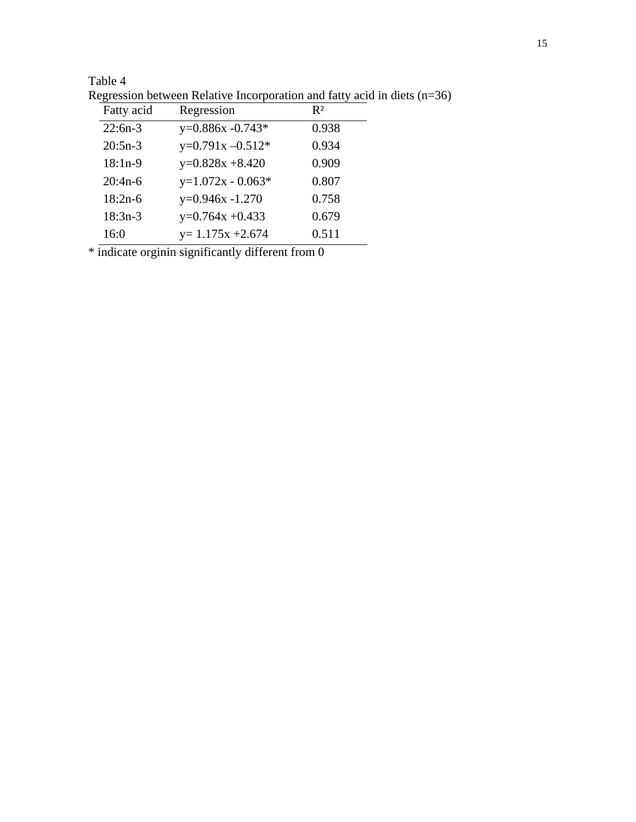|            | хедезэюн өсгүүссн тулан үе тисл роганон ана тану аста нь с |       |
|------------|------------------------------------------------------------|-------|
| Fatty acid | Regression                                                 | $R^2$ |
| $22:6n-3$  | $y=0.886x -0.743*$                                         | 0.938 |
| $20:5n-3$  | $y=0.791x - 0.512*$                                        | 0.934 |
| $18:1n-9$  | $y=0.828x + 8.420$                                         | 0.909 |
| $20:4n-6$  | $y=1.072x - 0.063*$                                        | 0.807 |
| $18:2n-6$  | $y=0.946x -1.270$                                          | 0.758 |
| $18:3n-3$  | $y=0.764x + 0.433$                                         | 0.679 |
| 16:0       | $y=1.175x + 2.674$                                         | 0.511 |

Regression between Relative Incorporation and fatty acid in diets (n=36)

 $*$  indicate orginin significantly different from  $\overline{0}$ 

Table 4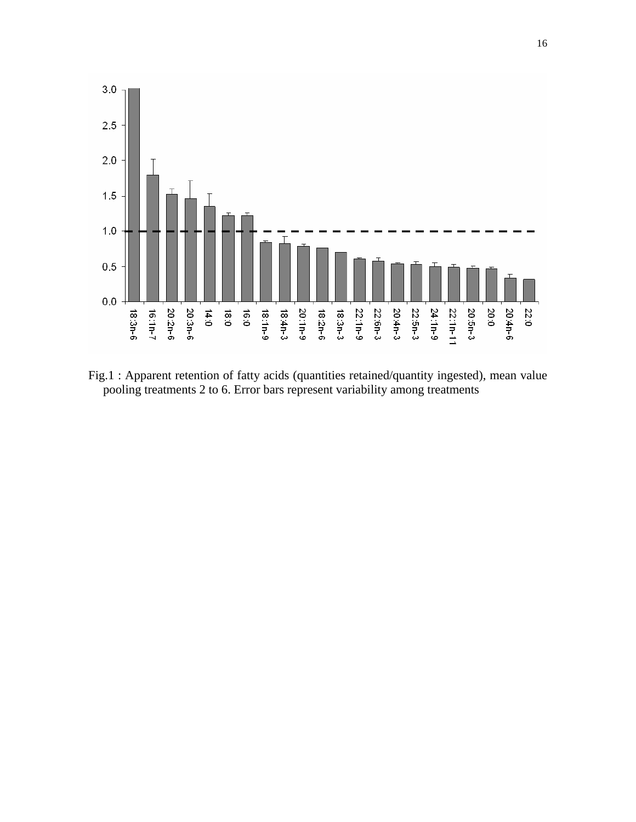

Fig.1 : Apparent retention of fatty acids (quantities retained/quantity ingested), mean value pooling treatments 2 to 6. Error bars represent variability among treatments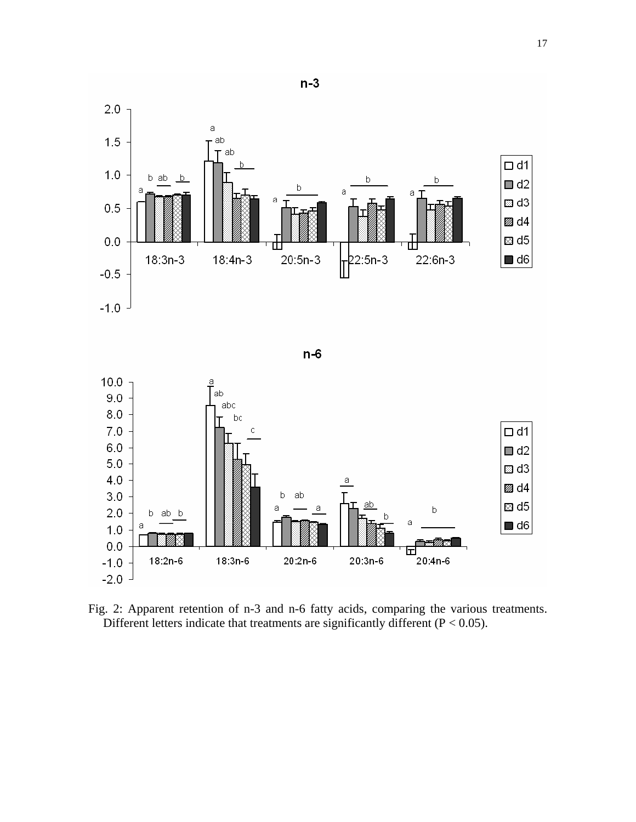

Fig. 2: Apparent retention of n-3 and n-6 fatty acids, comparing the various treatments. Different letters indicate that treatments are significantly different  $(P < 0.05)$ .